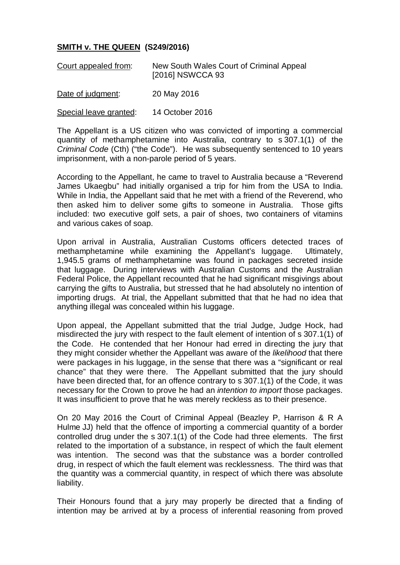## **SMITH v. THE QUEEN (S249/2016)**

| Court appealed from: | New South Wales Court of Criminal Appeal<br>[2016] NSWCCA 93 |
|----------------------|--------------------------------------------------------------|
| Date of judgment:    | 20 May 2016                                                  |

Special leave granted: 14 October 2016

The Appellant is a US citizen who was convicted of importing a commercial quantity of methamphetamine into Australia, contrary to s 307.1(1) of the *Criminal Code* (Cth) ("the Code"). He was subsequently sentenced to 10 years imprisonment, with a non-parole period of 5 years.

According to the Appellant, he came to travel to Australia because a "Reverend James Ukaegbu" had initially organised a trip for him from the USA to India. While in India, the Appellant said that he met with a friend of the Reverend, who then asked him to deliver some gifts to someone in Australia. Those gifts included: two executive golf sets, a pair of shoes, two containers of vitamins and various cakes of soap.

Upon arrival in Australia, Australian Customs officers detected traces of methamphetamine while examining the Appellant's luggage. Ultimately, 1,945.5 grams of methamphetamine was found in packages secreted inside that luggage. During interviews with Australian Customs and the Australian Federal Police, the Appellant recounted that he had significant misgivings about carrying the gifts to Australia, but stressed that he had absolutely no intention of importing drugs. At trial, the Appellant submitted that that he had no idea that anything illegal was concealed within his luggage.

Upon appeal, the Appellant submitted that the trial Judge, Judge Hock, had misdirected the jury with respect to the fault element of intention of s 307.1(1) of the Code. He contended that her Honour had erred in directing the jury that they might consider whether the Appellant was aware of the *likelihood* that there were packages in his luggage, in the sense that there was a "significant or real chance" that they were there. The Appellant submitted that the jury should have been directed that, for an offence contrary to s 307.1(1) of the Code, it was necessary for the Crown to prove he had an *intention to import* those packages. It was insufficient to prove that he was merely reckless as to their presence.

On 20 May 2016 the Court of Criminal Appeal (Beazley P, Harrison & R A Hulme JJ) held that the offence of importing a commercial quantity of a border controlled drug under the s 307.1(1) of the Code had three elements. The first related to the importation of a substance, in respect of which the fault element was intention. The second was that the substance was a border controlled drug, in respect of which the fault element was recklessness. The third was that the quantity was a commercial quantity, in respect of which there was absolute liability.

Their Honours found that a jury may properly be directed that a finding of intention may be arrived at by a process of inferential reasoning from proved